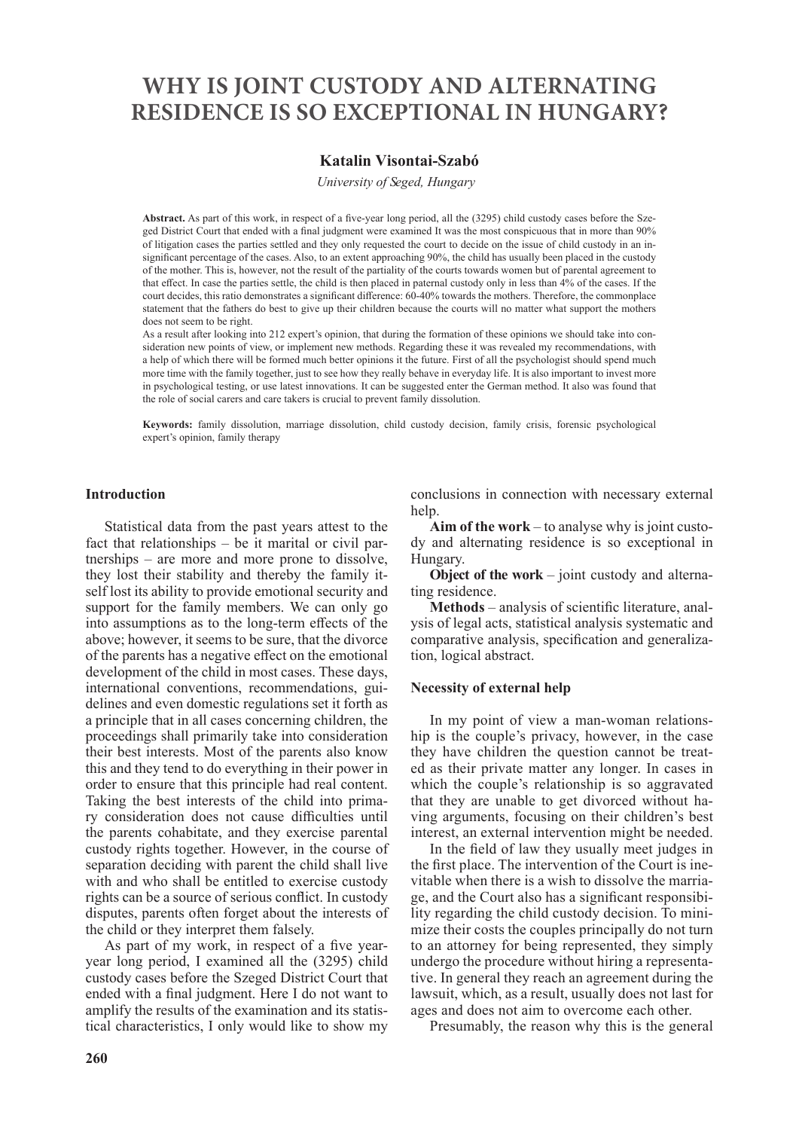# **WHY IS JOINT CUSTODY AND ALTERNATING RESIDENCE IS SO EXCEPTIONAL IN HUNGARY?**

# **Katalin Visontai-Szabó**

*University of Seged, Hungary*

**Abstract.** As part of this work, in respect of a five-year long period, all the (3295) child custody cases before the Szeged District Court that ended with a final judgment were examined It was the most conspicuous that in more than 90% of litigation cases the parties settled and they only requested the court to decide on the issue of child custody in an insignificant percentage of the cases. Also, to an extent approaching 90%, the child has usually been placed in the custody of the mother. This is, however, not the result of the partiality of the courts towards women but of parental agreement to that effect. In case the parties settle, the child is then placed in paternal custody only in less than 4% of the cases. If the court decides, this ratio demonstrates a significant difference: 60-40% towards the mothers. Therefore, the commonplace statement that the fathers do best to give up their children because the courts will no matter what support the mothers does not seem to be right.

As a result after looking into 212 expert's opinion, that during the formation of these opinions we should take into consideration new points of view, or implement new methods. Regarding these it was revealed my recommendations, with a help of which there will be formed much better opinions it the future. First of all the psychologist should spend much more time with the family together, just to see how they really behave in everyday life. It is also important to invest more in psychological testing, or use latest innovations. It can be suggested enter the German method. It also was found that the role of social carers and care takers is crucial to prevent family dissolution.

**Keywords:** family dissolution, marriage dissolution, child custody decision, family crisis, forensic psychological expert's opinion, family therapy

#### **Introduction**

Statistical data from the past years attest to the fact that relationships – be it marital or civil partnerships – are more and more prone to dissolve, they lost their stability and thereby the family itself lost its ability to provide emotional security and support for the family members. We can only go into assumptions as to the long-term effects of the above; however, it seems to be sure, that the divorce of the parents has a negative effect on the emotional development of the child in most cases. These days, international conventions, recommendations, guidelines and even domestic regulations set it forth as a principle that in all cases concerning children, the proceedings shall primarily take into consideration their best interests. Most of the parents also know this and they tend to do everything in their power in order to ensure that this principle had real content. Taking the best interests of the child into primary consideration does not cause difficulties until the parents cohabitate, and they exercise parental custody rights together. However, in the course of separation deciding with parent the child shall live with and who shall be entitled to exercise custody rights can be a source of serious conflict. In custody disputes, parents often forget about the interests of the child or they interpret them falsely.

As part of my work, in respect of a five yearyear long period, I examined all the (3295) child custody cases before the Szeged District Court that ended with a final judgment. Here I do not want to amplify the results of the examination and its statistical characteristics, I only would like to show my

conclusions in connection with necessary external help.

**Aim of the work** – to analyse why is joint custody and alternating residence is so exceptional in Hungary.

**Object of the work** – joint custody and alternating residence.

**Methods** – analysis of scientific literature, analysis of legal acts, statistical analysis systematic and comparative analysis, specification and generalization, logical abstract.

#### **Necessity of external help**

In my point of view a man-woman relationship is the couple's privacy, however, in the case they have children the question cannot be treated as their private matter any longer. In cases in which the couple's relationship is so aggravated that they are unable to get divorced without having arguments, focusing on their children's best interest, an external intervention might be needed.

In the field of law they usually meet judges in the first place. The intervention of the Court is inevitable when there is a wish to dissolve the marriage, and the Court also has a significant responsibility regarding the child custody decision. To minimize their costs the couples principally do not turn to an attorney for being represented, they simply undergo the procedure without hiring a representative. In general they reach an agreement during the lawsuit, which, as a result, usually does not last for ages and does not aim to overcome each other.

Presumably, the reason why this is the general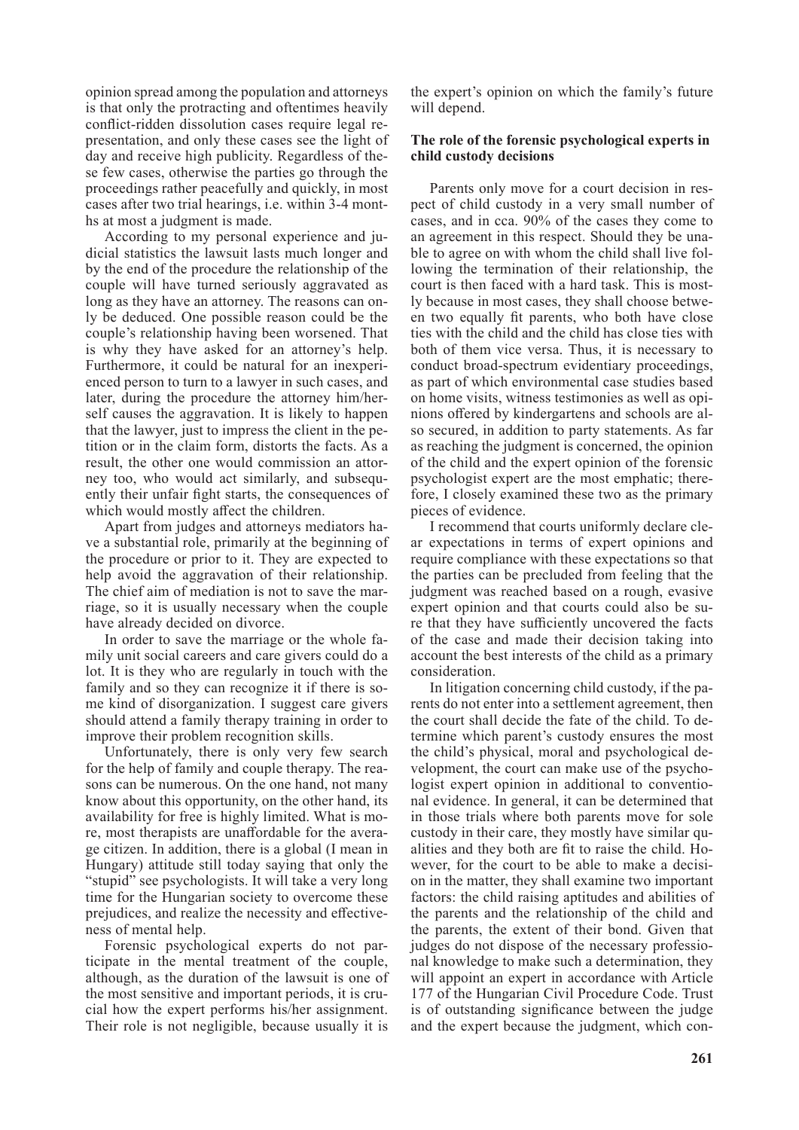opinion spread among the population and attorneys is that only the protracting and oftentimes heavily conflict-ridden dissolution cases require legal representation, and only these cases see the light of day and receive high publicity. Regardless of these few cases, otherwise the parties go through the proceedings rather peacefully and quickly, in most cases after two trial hearings, i.e. within 3-4 months at most a judgment is made.

According to my personal experience and judicial statistics the lawsuit lasts much longer and by the end of the procedure the relationship of the couple will have turned seriously aggravated as long as they have an attorney. The reasons can only be deduced. One possible reason could be the couple's relationship having been worsened. That is why they have asked for an attorney's help. Furthermore, it could be natural for an inexperienced person to turn to a lawyer in such cases, and later, during the procedure the attorney him/herself causes the aggravation. It is likely to happen that the lawyer, just to impress the client in the petition or in the claim form, distorts the facts. As a result, the other one would commission an attorney too, who would act similarly, and subsequently their unfair fight starts, the consequences of which would mostly affect the children.

Apart from judges and attorneys mediators have a substantial role, primarily at the beginning of the procedure or prior to it. They are expected to help avoid the aggravation of their relationship. The chief aim of mediation is not to save the marriage, so it is usually necessary when the couple have already decided on divorce.

In order to save the marriage or the whole family unit social careers and care givers could do a lot. It is they who are regularly in touch with the family and so they can recognize it if there is some kind of disorganization. I suggest care givers should attend a family therapy training in order to improve their problem recognition skills.

Unfortunately, there is only very few search for the help of family and couple therapy. The reasons can be numerous. On the one hand, not many know about this opportunity, on the other hand, its availability for free is highly limited. What is more, most therapists are unaffordable for the average citizen. In addition, there is a global (I mean in Hungary) attitude still today saying that only the "stupid" see psychologists. It will take a very long time for the Hungarian society to overcome these prejudices, and realize the necessity and effectiveness of mental help.

Forensic psychological experts do not participate in the mental treatment of the couple, although, as the duration of the lawsuit is one of the most sensitive and important periods, it is crucial how the expert performs his/her assignment. Their role is not negligible, because usually it is

the expert's opinion on which the family's future will depend.

### **The role of the forensic psychological experts in child custody decisions**

Parents only move for a court decision in respect of child custody in a very small number of cases, and in cca. 90% of the cases they come to an agreement in this respect. Should they be unable to agree on with whom the child shall live following the termination of their relationship, the court is then faced with a hard task. This is mostly because in most cases, they shall choose between two equally fit parents, who both have close ties with the child and the child has close ties with both of them vice versa. Thus, it is necessary to conduct broad-spectrum evidentiary proceedings, as part of which environmental case studies based on home visits, witness testimonies as well as opinions offered by kindergartens and schools are also secured, in addition to party statements. As far as reaching the judgment is concerned, the opinion of the child and the expert opinion of the forensic psychologist expert are the most emphatic; therefore, I closely examined these two as the primary pieces of evidence.

I recommend that courts uniformly declare clear expectations in terms of expert opinions and require compliance with these expectations so that the parties can be precluded from feeling that the judgment was reached based on a rough, evasive expert opinion and that courts could also be sure that they have sufficiently uncovered the facts of the case and made their decision taking into account the best interests of the child as a primary consideration.

In litigation concerning child custody, if the parents do not enter into a settlement agreement, then the court shall decide the fate of the child. To determine which parent's custody ensures the most the child's physical, moral and psychological development, the court can make use of the psychologist expert opinion in additional to conventional evidence. In general, it can be determined that in those trials where both parents move for sole custody in their care, they mostly have similar qualities and they both are fit to raise the child. However, for the court to be able to make a decision in the matter, they shall examine two important factors: the child raising aptitudes and abilities of the parents and the relationship of the child and the parents, the extent of their bond. Given that judges do not dispose of the necessary professional knowledge to make such a determination, they will appoint an expert in accordance with Article 177 of the Hungarian Civil Procedure Code. Trust is of outstanding significance between the judge and the expert because the judgment, which con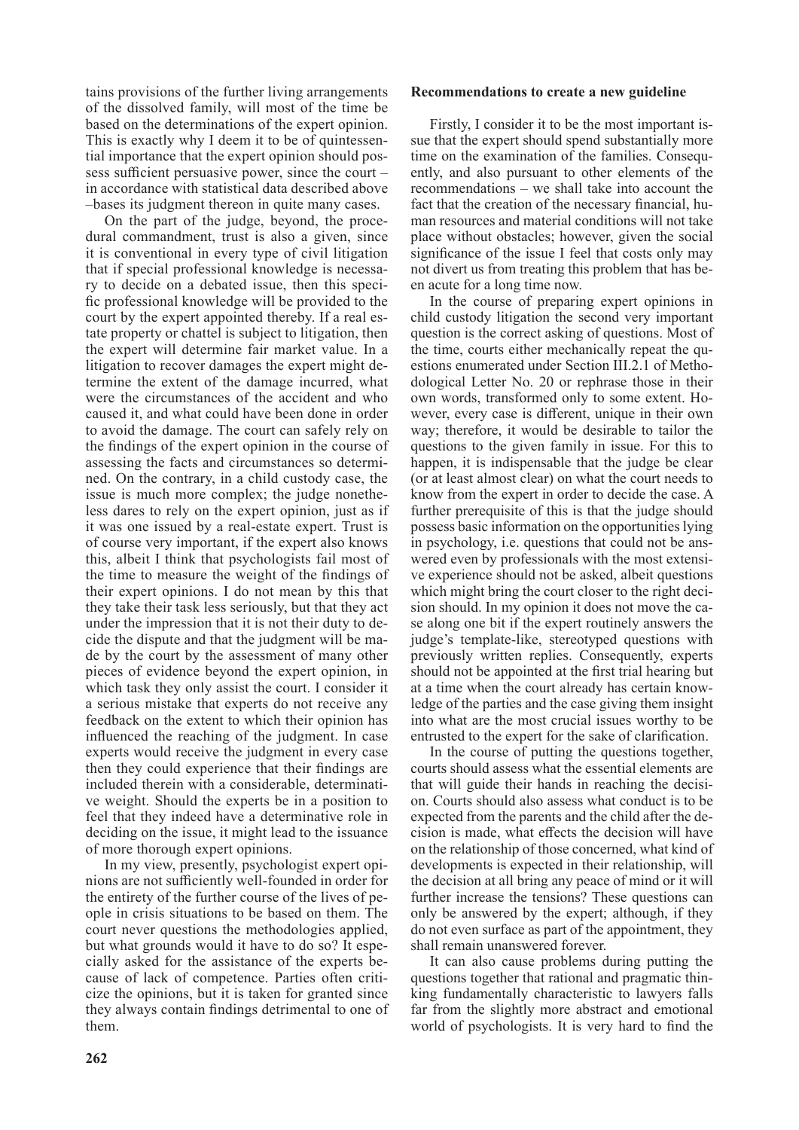tains provisions of the further living arrangements of the dissolved family, will most of the time be based on the determinations of the expert opinion. This is exactly why I deem it to be of quintessential importance that the expert opinion should possess sufficient persuasive power, since the court – in accordance with statistical data described above –bases its judgment thereon in quite many cases.

On the part of the judge, beyond, the procedural commandment, trust is also a given, since it is conventional in every type of civil litigation that if special professional knowledge is necessary to decide on a debated issue, then this specific professional knowledge will be provided to the court by the expert appointed thereby. If a real estate property or chattel is subject to litigation, then the expert will determine fair market value. In a litigation to recover damages the expert might determine the extent of the damage incurred, what were the circumstances of the accident and who caused it, and what could have been done in order to avoid the damage. The court can safely rely on the findings of the expert opinion in the course of assessing the facts and circumstances so determined. On the contrary, in a child custody case, the issue is much more complex; the judge nonetheless dares to rely on the expert opinion, just as if it was one issued by a real-estate expert. Trust is of course very important, if the expert also knows this, albeit I think that psychologists fail most of the time to measure the weight of the findings of their expert opinions. I do not mean by this that they take their task less seriously, but that they act under the impression that it is not their duty to decide the dispute and that the judgment will be made by the court by the assessment of many other pieces of evidence beyond the expert opinion, in which task they only assist the court. I consider it a serious mistake that experts do not receive any feedback on the extent to which their opinion has influenced the reaching of the judgment. In case experts would receive the judgment in every case then they could experience that their findings are included therein with a considerable, determinative weight. Should the experts be in a position to feel that they indeed have a determinative role in deciding on the issue, it might lead to the issuance of more thorough expert opinions.

In my view, presently, psychologist expert opinions are not sufficiently well-founded in order for the entirety of the further course of the lives of people in crisis situations to be based on them. The court never questions the methodologies applied, but what grounds would it have to do so? It especially asked for the assistance of the experts because of lack of competence. Parties often criticize the opinions, but it is taken for granted since they always contain findings detrimental to one of them.

#### **Recommendations to create a new guideline**

Firstly, I consider it to be the most important issue that the expert should spend substantially more time on the examination of the families. Consequently, and also pursuant to other elements of the recommendations – we shall take into account the fact that the creation of the necessary financial, human resources and material conditions will not take place without obstacles; however, given the social significance of the issue I feel that costs only may not divert us from treating this problem that has been acute for a long time now.

In the course of preparing expert opinions in child custody litigation the second very important question is the correct asking of questions. Most of the time, courts either mechanically repeat the questions enumerated under Section III.2.1 of Methodological Letter No. 20 or rephrase those in their own words, transformed only to some extent. However, every case is different, unique in their own way; therefore, it would be desirable to tailor the questions to the given family in issue. For this to happen, it is indispensable that the judge be clear (or at least almost clear) on what the court needs to know from the expert in order to decide the case. A further prerequisite of this is that the judge should possess basic information on the opportunities lying in psychology, i.e. questions that could not be answered even by professionals with the most extensive experience should not be asked, albeit questions which might bring the court closer to the right decision should. In my opinion it does not move the case along one bit if the expert routinely answers the judge's template-like, stereotyped questions with previously written replies. Consequently, experts should not be appointed at the first trial hearing but at a time when the court already has certain knowledge of the parties and the case giving them insight into what are the most crucial issues worthy to be entrusted to the expert for the sake of clarification.

In the course of putting the questions together, courts should assess what the essential elements are that will guide their hands in reaching the decision. Courts should also assess what conduct is to be expected from the parents and the child after the decision is made, what effects the decision will have on the relationship of those concerned, what kind of developments is expected in their relationship, will the decision at all bring any peace of mind or it will further increase the tensions? These questions can only be answered by the expert; although, if they do not even surface as part of the appointment, they shall remain unanswered forever.

It can also cause problems during putting the questions together that rational and pragmatic thinking fundamentally characteristic to lawyers falls far from the slightly more abstract and emotional world of psychologists. It is very hard to find the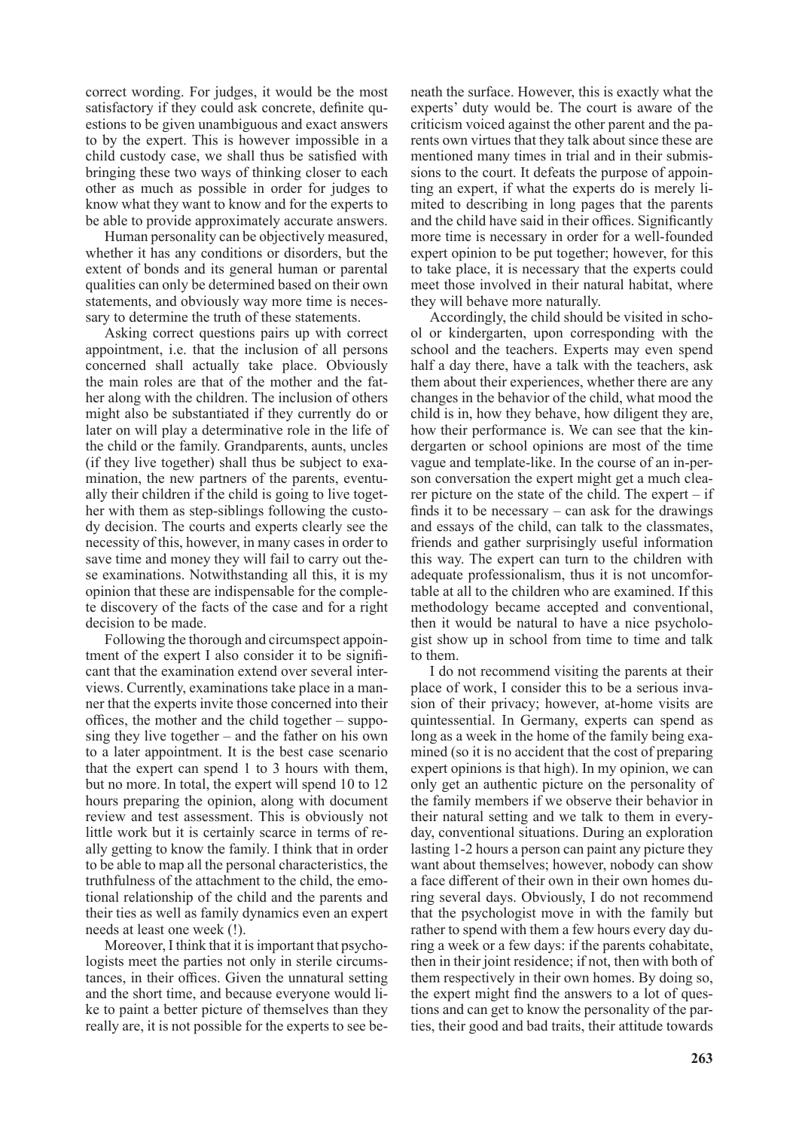correct wording. For judges, it would be the most satisfactory if they could ask concrete, definite questions to be given unambiguous and exact answers to by the expert. This is however impossible in a child custody case, we shall thus be satisfied with bringing these two ways of thinking closer to each other as much as possible in order for judges to know what they want to know and for the experts to be able to provide approximately accurate answers.

Human personality can be objectively measured, whether it has any conditions or disorders, but the extent of bonds and its general human or parental qualities can only be determined based on their own statements, and obviously way more time is necessary to determine the truth of these statements.

Asking correct questions pairs up with correct appointment, i.e. that the inclusion of all persons concerned shall actually take place. Obviously the main roles are that of the mother and the father along with the children. The inclusion of others might also be substantiated if they currently do or later on will play a determinative role in the life of the child or the family. Grandparents, aunts, uncles (if they live together) shall thus be subject to examination, the new partners of the parents, eventually their children if the child is going to live together with them as step-siblings following the custody decision. The courts and experts clearly see the necessity of this, however, in many cases in order to save time and money they will fail to carry out these examinations. Notwithstanding all this, it is my opinion that these are indispensable for the complete discovery of the facts of the case and for a right decision to be made.

Following the thorough and circumspect appointment of the expert I also consider it to be significant that the examination extend over several interviews. Currently, examinations take place in a manner that the experts invite those concerned into their offices, the mother and the child together – supposing they live together – and the father on his own to a later appointment. It is the best case scenario that the expert can spend 1 to 3 hours with them, but no more. In total, the expert will spend 10 to 12 hours preparing the opinion, along with document review and test assessment. This is obviously not little work but it is certainly scarce in terms of really getting to know the family. I think that in order to be able to map all the personal characteristics, the truthfulness of the attachment to the child, the emotional relationship of the child and the parents and their ties as well as family dynamics even an expert needs at least one week (!).

Moreover, I think that it is important that psychologists meet the parties not only in sterile circumstances, in their offices. Given the unnatural setting and the short time, and because everyone would like to paint a better picture of themselves than they really are, it is not possible for the experts to see beneath the surface. However, this is exactly what the experts' duty would be. The court is aware of the criticism voiced against the other parent and the parents own virtues that they talk about since these are mentioned many times in trial and in their submissions to the court. It defeats the purpose of appointing an expert, if what the experts do is merely limited to describing in long pages that the parents and the child have said in their offices. Significantly more time is necessary in order for a well-founded expert opinion to be put together; however, for this to take place, it is necessary that the experts could meet those involved in their natural habitat, where they will behave more naturally.

Accordingly, the child should be visited in school or kindergarten, upon corresponding with the school and the teachers. Experts may even spend half a day there, have a talk with the teachers, ask them about their experiences, whether there are any changes in the behavior of the child, what mood the child is in, how they behave, how diligent they are, how their performance is. We can see that the kindergarten or school opinions are most of the time vague and template-like. In the course of an in-person conversation the expert might get a much clearer picture on the state of the child. The expert  $-$  if finds it to be necessary  $-$  can ask for the drawings and essays of the child, can talk to the classmates, friends and gather surprisingly useful information this way. The expert can turn to the children with adequate professionalism, thus it is not uncomfortable at all to the children who are examined. If this methodology became accepted and conventional, then it would be natural to have a nice psychologist show up in school from time to time and talk to them.

I do not recommend visiting the parents at their place of work, I consider this to be a serious invasion of their privacy; however, at-home visits are quintessential. In Germany, experts can spend as long as a week in the home of the family being examined (so it is no accident that the cost of preparing expert opinions is that high). In my opinion, we can only get an authentic picture on the personality of the family members if we observe their behavior in their natural setting and we talk to them in everyday, conventional situations. During an exploration lasting 1-2 hours a person can paint any picture they want about themselves; however, nobody can show a face different of their own in their own homes during several days. Obviously, I do not recommend that the psychologist move in with the family but rather to spend with them a few hours every day during a week or a few days: if the parents cohabitate, then in their joint residence; if not, then with both of them respectively in their own homes. By doing so, the expert might find the answers to a lot of questions and can get to know the personality of the parties, their good and bad traits, their attitude towards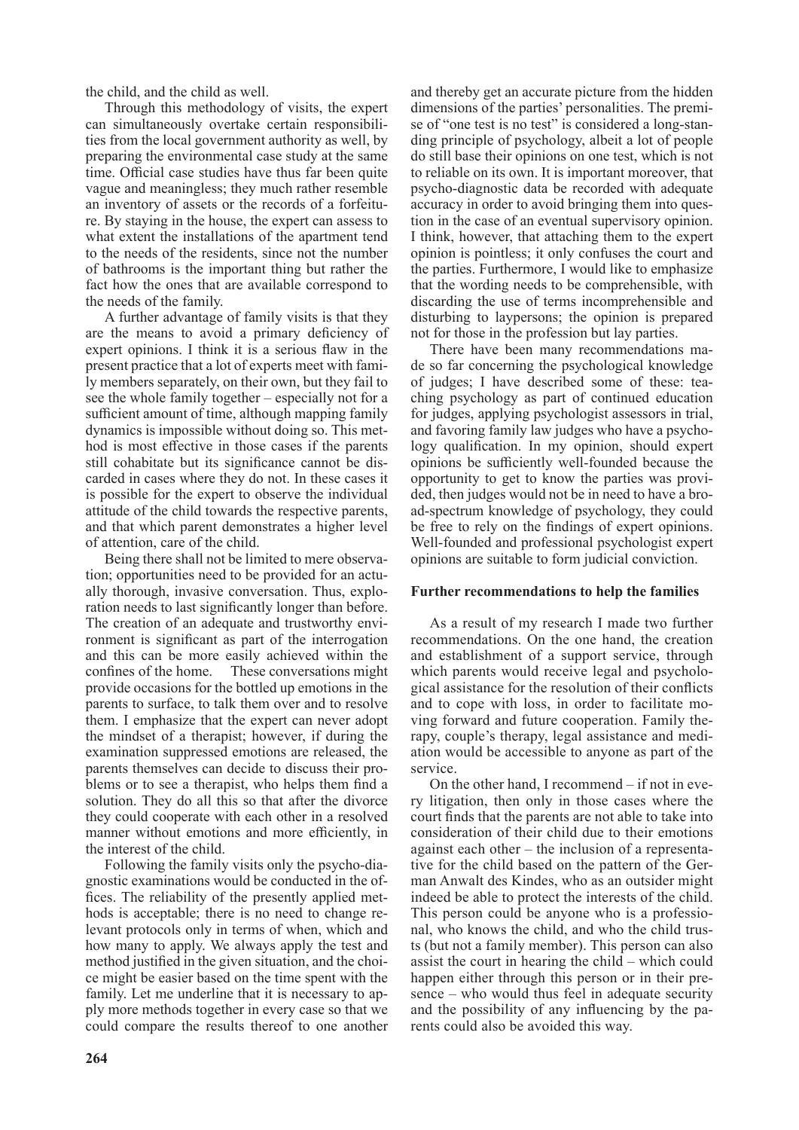the child, and the child as well.

Through this methodology of visits, the expert can simultaneously overtake certain responsibilities from the local government authority as well, by preparing the environmental case study at the same time. Official case studies have thus far been quite vague and meaningless; they much rather resemble an inventory of assets or the records of a forfeiture. By staying in the house, the expert can assess to what extent the installations of the apartment tend to the needs of the residents, since not the number of bathrooms is the important thing but rather the fact how the ones that are available correspond to the needs of the family.

A further advantage of family visits is that they are the means to avoid a primary deficiency of expert opinions. I think it is a serious flaw in the present practice that a lot of experts meet with family members separately, on their own, but they fail to see the whole family together – especially not for a sufficient amount of time, although mapping family dynamics is impossible without doing so. This method is most effective in those cases if the parents still cohabitate but its significance cannot be discarded in cases where they do not. In these cases it is possible for the expert to observe the individual attitude of the child towards the respective parents, and that which parent demonstrates a higher level of attention, care of the child.

Being there shall not be limited to mere observation; opportunities need to be provided for an actually thorough, invasive conversation. Thus, exploration needs to last significantly longer than before. The creation of an adequate and trustworthy environment is significant as part of the interrogation and this can be more easily achieved within the confines of the home. These conversations might provide occasions for the bottled up emotions in the parents to surface, to talk them over and to resolve them. I emphasize that the expert can never adopt the mindset of a therapist; however, if during the examination suppressed emotions are released, the parents themselves can decide to discuss their problems or to see a therapist, who helps them find a solution. They do all this so that after the divorce they could cooperate with each other in a resolved manner without emotions and more efficiently, in the interest of the child.

Following the family visits only the psycho-diagnostic examinations would be conducted in the offices. The reliability of the presently applied methods is acceptable; there is no need to change relevant protocols only in terms of when, which and how many to apply. We always apply the test and method justified in the given situation, and the choice might be easier based on the time spent with the family. Let me underline that it is necessary to apply more methods together in every case so that we could compare the results thereof to one another and thereby get an accurate picture from the hidden dimensions of the parties' personalities. The premise of "one test is no test" is considered a long-standing principle of psychology, albeit a lot of people do still base their opinions on one test, which is not to reliable on its own. It is important moreover, that psycho-diagnostic data be recorded with adequate accuracy in order to avoid bringing them into question in the case of an eventual supervisory opinion. I think, however, that attaching them to the expert opinion is pointless; it only confuses the court and the parties. Furthermore, I would like to emphasize that the wording needs to be comprehensible, with discarding the use of terms incomprehensible and disturbing to laypersons; the opinion is prepared not for those in the profession but lay parties.

There have been many recommendations made so far concerning the psychological knowledge of judges; I have described some of these: teaching psychology as part of continued education for judges, applying psychologist assessors in trial, and favoring family law judges who have a psychology qualification. In my opinion, should expert opinions be sufficiently well-founded because the opportunity to get to know the parties was provided, then judges would not be in need to have a broad-spectrum knowledge of psychology, they could be free to rely on the findings of expert opinions. Well-founded and professional psychologist expert opinions are suitable to form judicial conviction.

#### **Further recommendations to help the families**

As a result of my research I made two further recommendations. On the one hand, the creation and establishment of a support service, through which parents would receive legal and psychological assistance for the resolution of their conflicts and to cope with loss, in order to facilitate moving forward and future cooperation. Family therapy, couple's therapy, legal assistance and mediation would be accessible to anyone as part of the service.

On the other hand, I recommend – if not in every litigation, then only in those cases where the court finds that the parents are not able to take into consideration of their child due to their emotions against each other – the inclusion of a representative for the child based on the pattern of the German Anwalt des Kindes, who as an outsider might indeed be able to protect the interests of the child. This person could be anyone who is a professional, who knows the child, and who the child trusts (but not a family member). This person can also assist the court in hearing the child – which could happen either through this person or in their presence – who would thus feel in adequate security and the possibility of any influencing by the parents could also be avoided this way.